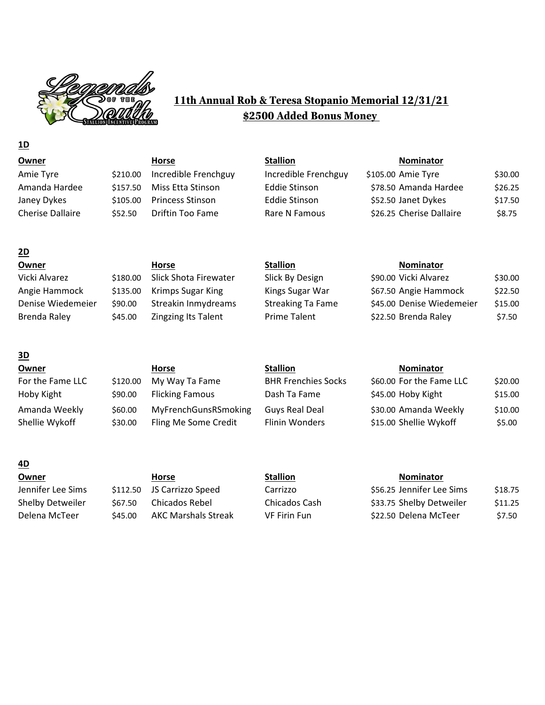

# **11th Annual Rob & Teresa Stopanio Memorial 12/31/21 \$2500 Added Bonus Money**

# **Owner Horse Stallion Nominator** Amie Tyre  $$210.00$  Incredible Frenchguy Incredible Frenchguy \$105.00 Amie Tyre \$30.00 Amanda Hardee  $\frac{1}{2}$  \$157.50 Miss Etta Stinson Eddie Stinson \$78.50 Amanda Hardee \$26.25 Janey Dykes \$105.00 Princess Stinson Eddie Stinson \$52.50 Janet Dykes \$17.50 Cherise Dallaire 552.50 Driftin Too Fame Rare N Famous \$26.25 Cherise Dallaire \$8.75

| Owner             |          | Horse                      | <b>Stallion</b>          | <b>Nominator</b>          |         |
|-------------------|----------|----------------------------|--------------------------|---------------------------|---------|
| Vicki Alvarez     | \$180.00 | Slick Shota Firewater      | Slick By Design          | \$90.00 Vicki Alvarez     | \$30.00 |
| Angie Hammock     | \$135.00 | <b>Krimps Sugar King</b>   | Kings Sugar War          | \$67.50 Angie Hammock     | \$22.50 |
| Denise Wiedemeier | \$90.00  | Streakin Inmydreams        | <b>Streaking Ta Fame</b> | \$45.00 Denise Wiedemeier | \$15.00 |
| Brenda Raley      | \$45.00  | <b>Zingzing Its Talent</b> | <b>Prime Talent</b>      | \$22.50 Brenda Raley      | \$7.50  |
|                   |          |                            |                          |                           |         |

## **3D Owner Horse Stallion Nominator** For the Fame LLC \$120.00 My Way Ta Fame BHR Frenchies Socks \$60.00 For the Fame LLC \$20.00 Hoby Kight  $\frac{150}{1500}$   $\frac{1500}{1500}$  Flicking Famous Dash Ta Fame \$45.00 Hoby Kight \$15.00 Amanda Weekly  $$60.00$  MyFrenchGunsRSmoking Guys Real Deal \$30.00 Amanda Weekly \$10.00 Shellie Wykoff  $\frac{1}{530.00}$  Fling Me Some Credit Flinin Wonders  $\frac{1}{515.00}$  Shellie Wykoff  $\frac{1}{55.00}$

### **4D**

**1D**

**2D**

**Owner Horse Stallion Nominator** Jennifer Lee Sims \$112.50 JS Carrizzo Speed Carrizzo Shelby Detweiler  $\frac{1}{567.50}$  Chicados Rebel Chicados Cash Delena McTeer  $\frac{1}{2}$  \$45.00 AKC Marshals Streak VF Firin Fun

| \$56.25 Jennifer Lee Sims | \$18.75 |
|---------------------------|---------|
| \$33.75 Shelby Detweiler  | \$11.25 |
| \$22.50 Delena McTeer     | \$7.50  |

| \$90.00 Vicki Alvarez     | \$30.00 |
|---------------------------|---------|
| \$67.50 Angie Hammock     | \$22.50 |
| \$45.00 Denise Wiedemeier | \$15.00 |
| \$22.50 Brenda Raley      | \$7.50  |